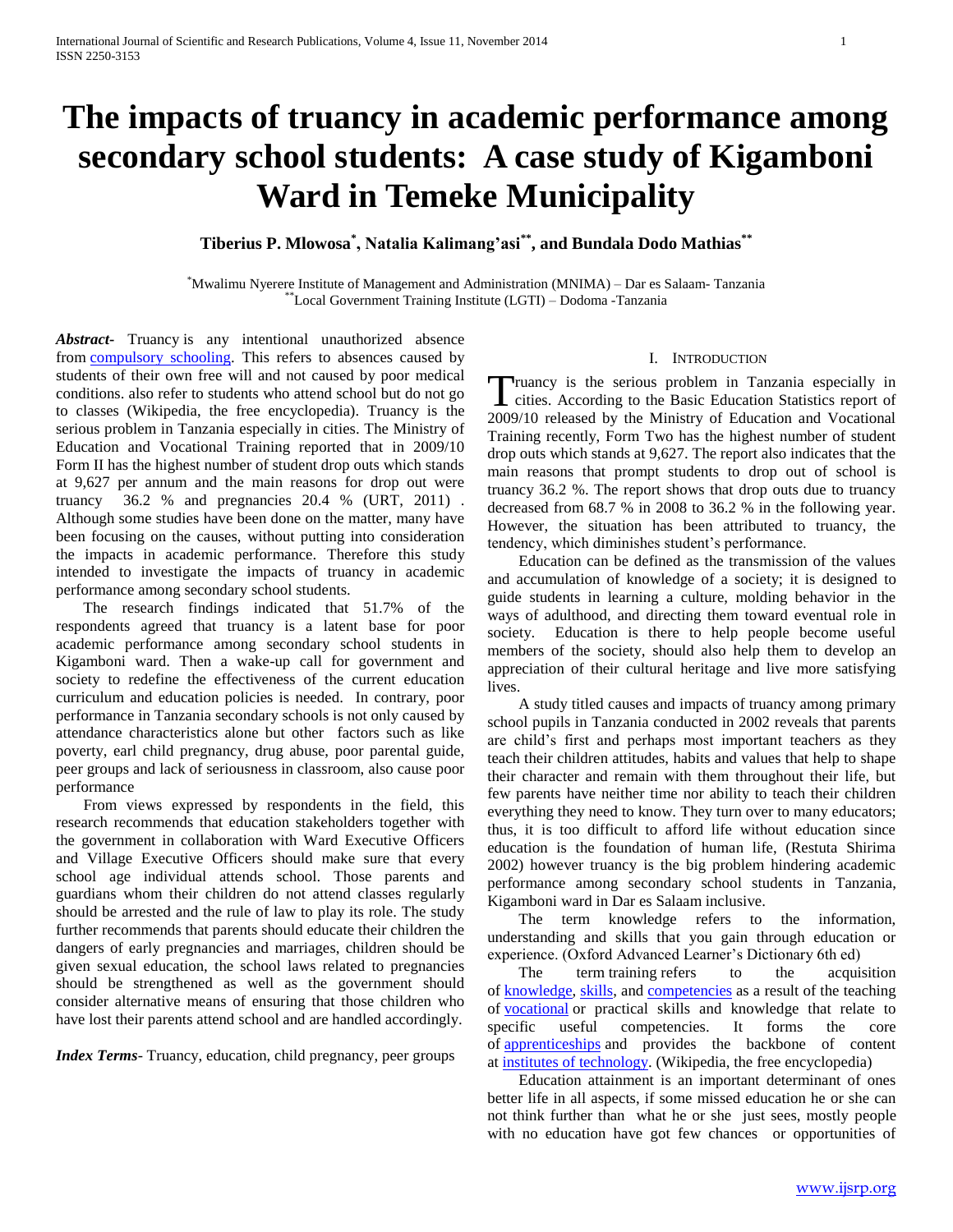# **The impacts of truancy in academic performance among secondary school students: A case study of Kigamboni Ward in Temeke Municipality**

# **Tiberius P. Mlowosa\* , Natalia Kalimang'asi\*\*, and Bundala Dodo Mathias\*\***

\*Mwalimu Nyerere Institute of Management and Administration (MNIMA) – Dar es Salaam- Tanzania \*\*Local Government Training Institute (LGTI) – Dodoma -Tanzania

*Abstract***-** Truancy is any intentional unauthorized absence from [compulsory schooling.](http://en.wikipedia.org/wiki/Compulsory_schooling) This refers to absences caused by students of their own free will and not caused by poor medical conditions. also refer to students who attend school but do not go to classes (Wikipedia, the free encyclopedia). Truancy is the serious problem in Tanzania especially in cities. The Ministry of Education and Vocational Training reported that in 2009/10 Form II has the highest number of student drop outs which stands at 9,627 per annum and the main reasons for drop out were truancy 36.2 % and pregnancies 20.4 % (URT, 2011) . Although some studies have been done on the matter, many have been focusing on the causes, without putting into consideration the impacts in academic performance. Therefore this study intended to investigate the impacts of truancy in academic performance among secondary school students.

 The research findings indicated that 51.7% of the respondents agreed that truancy is a latent base for poor academic performance among secondary school students in Kigamboni ward. Then a wake-up call for government and society to redefine the effectiveness of the current education curriculum and education policies is needed. In contrary, poor performance in Tanzania secondary schools is not only caused by attendance characteristics alone but other factors such as like poverty, earl child pregnancy, drug abuse, poor parental guide, peer groups and lack of seriousness in classroom, also cause poor performance

 From views expressed by respondents in the field, this research recommends that education stakeholders together with the government in collaboration with Ward Executive Officers and Village Executive Officers should make sure that every school age individual attends school. Those parents and guardians whom their children do not attend classes regularly should be arrested and the rule of law to play its role. The study further recommends that parents should educate their children the dangers of early pregnancies and marriages, children should be given sexual education, the school laws related to pregnancies should be strengthened as well as the government should consider alternative means of ensuring that those children who have lost their parents attend school and are handled accordingly.

*Index Terms*- Truancy, education, child pregnancy, peer groups

# I. INTRODUCTION

ruancy is the serious problem in Tanzania especially in Truancy is the serious problem in Tanzania especially in cities. According to the Basic Education Statistics report of 2009/10 released by the Ministry of Education and Vocational Training recently, Form Two has the highest number of student drop outs which stands at 9,627. The report also indicates that the main reasons that prompt students to drop out of school is truancy 36.2 %. The report shows that drop outs due to truancy decreased from 68.7 % in 2008 to 36.2 % in the following year. However, the situation has been attributed to truancy, the tendency, which diminishes student's performance.

 Education can be defined as the transmission of the values and accumulation of knowledge of a society; it is designed to guide students in learning a culture, molding behavior in the ways of adulthood, and directing them toward eventual role in society. Education is there to help people become useful members of the society, should also help them to develop an appreciation of their cultural heritage and live more satisfying lives.

 A study titled causes and impacts of truancy among primary school pupils in Tanzania conducted in 2002 reveals that parents are child's first and perhaps most important teachers as they teach their children attitudes, habits and values that help to shape their character and remain with them throughout their life, but few parents have neither time nor ability to teach their children everything they need to know. They turn over to many educators; thus, it is too difficult to afford life without education since education is the foundation of human life, (Restuta Shirima 2002) however truancy is the big problem hindering academic performance among secondary school students in Tanzania, Kigamboni ward in Dar es Salaam inclusive.

 The term knowledge refers to the information, understanding and skills that you gain through education or experience. (Oxford Advanced Learner's Dictionary 6th ed)

The term training refers to the acquisition of [knowledge,](http://en.wikipedia.org/wiki/Knowledge) [skills,](http://en.wikipedia.org/wiki/Skill) and [competencies](http://en.wikipedia.org/wiki/Competence_(human_resources)) as a result of the teaching of [vocational](http://en.wikipedia.org/wiki/Vocational_education) or practical skills and knowledge that relate to specific useful competencies. It forms the core of [apprenticeships](http://en.wikipedia.org/wiki/Apprenticeship) and provides the backbone of content at [institutes of technology.](http://en.wikipedia.org/wiki/Institute_of_technology) (Wikipedia, the free encyclopedia)

 Education attainment is an important determinant of ones better life in all aspects, if some missed education he or she can not think further than what he or she just sees, mostly people with no education have got few chances or opportunities of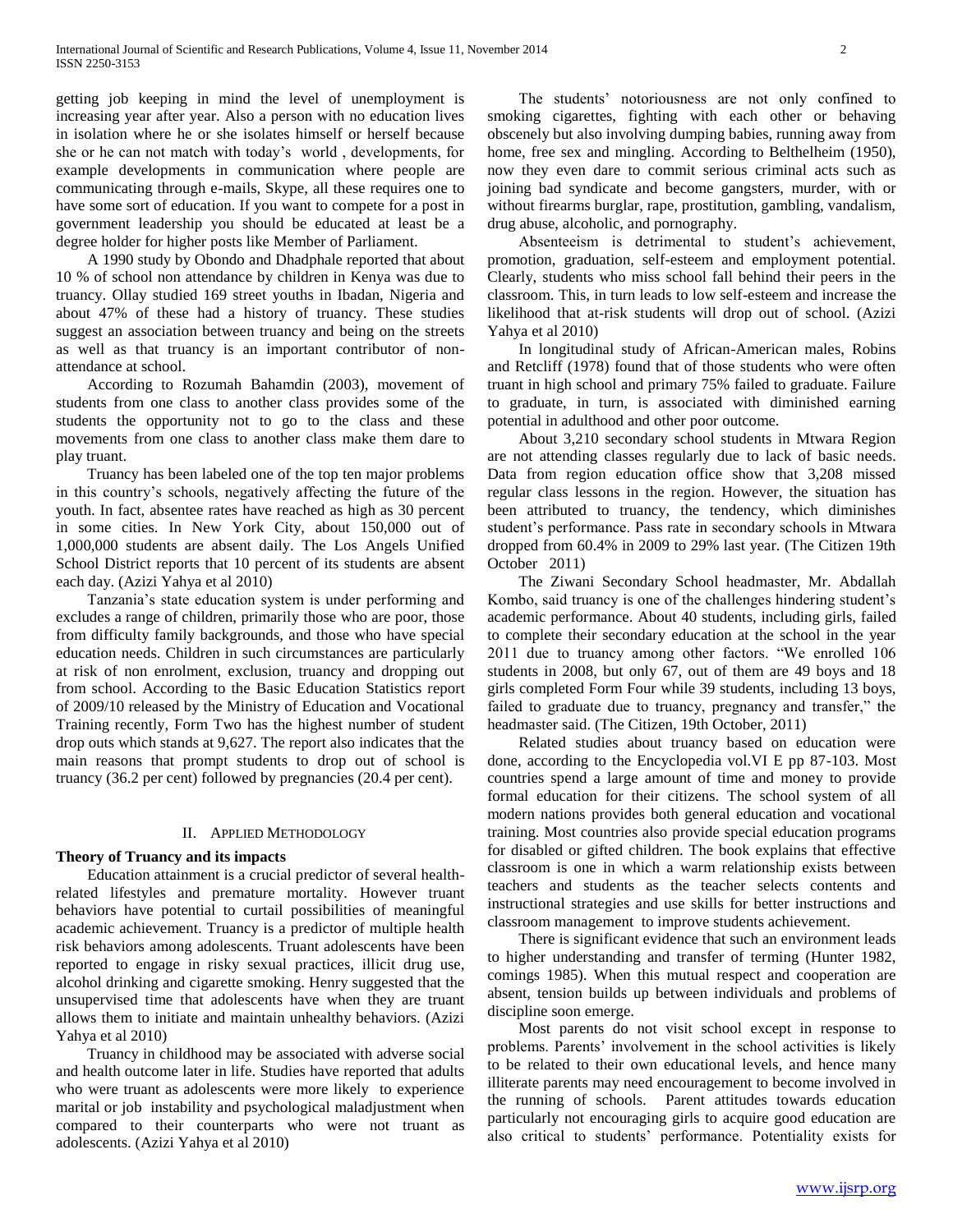getting job keeping in mind the level of unemployment is increasing year after year. Also a person with no education lives in isolation where he or she isolates himself or herself because she or he can not match with today's world , developments, for example developments in communication where people are communicating through e-mails, Skype, all these requires one to have some sort of education. If you want to compete for a post in government leadership you should be educated at least be a degree holder for higher posts like Member of Parliament.

 A 1990 study by Obondo and Dhadphale reported that about 10 % of school non attendance by children in Kenya was due to truancy. Ollay studied 169 street youths in Ibadan, Nigeria and about 47% of these had a history of truancy. These studies suggest an association between truancy and being on the streets as well as that truancy is an important contributor of nonattendance at school.

 According to Rozumah Bahamdin (2003), movement of students from one class to another class provides some of the students the opportunity not to go to the class and these movements from one class to another class make them dare to play truant.

 Truancy has been labeled one of the top ten major problems in this country's schools, negatively affecting the future of the youth. In fact, absentee rates have reached as high as 30 percent in some cities. In New York City, about 150,000 out of 1,000,000 students are absent daily. The Los Angels Unified School District reports that 10 percent of its students are absent each day. (Azizi Yahya et al 2010)

 Tanzania's state education system is under performing and excludes a range of children, primarily those who are poor, those from difficulty family backgrounds, and those who have special education needs. Children in such circumstances are particularly at risk of non enrolment, exclusion, truancy and dropping out from school. According to the Basic Education Statistics report of 2009/10 released by the Ministry of Education and Vocational Training recently, Form Two has the highest number of student drop outs which stands at 9,627. The report also indicates that the main reasons that prompt students to drop out of school is truancy (36.2 per cent) followed by pregnancies (20.4 per cent).

#### II. APPLIED METHODOLOGY

#### **Theory of Truancy and its impacts**

 Education attainment is a crucial predictor of several healthrelated lifestyles and premature mortality. However truant behaviors have potential to curtail possibilities of meaningful academic achievement. Truancy is a predictor of multiple health risk behaviors among adolescents. Truant adolescents have been reported to engage in risky sexual practices, illicit drug use, alcohol drinking and cigarette smoking. Henry suggested that the unsupervised time that adolescents have when they are truant allows them to initiate and maintain unhealthy behaviors. (Azizi Yahya et al 2010)

 Truancy in childhood may be associated with adverse social and health outcome later in life. Studies have reported that adults who were truant as adolescents were more likely to experience marital or job instability and psychological maladjustment when compared to their counterparts who were not truant as adolescents. (Azizi Yahya et al 2010)

 The students' notoriousness are not only confined to smoking cigarettes, fighting with each other or behaving obscenely but also involving dumping babies, running away from home, free sex and mingling. According to Belthelheim (1950), now they even dare to commit serious criminal acts such as joining bad syndicate and become gangsters, murder, with or without firearms burglar, rape, prostitution, gambling, vandalism, drug abuse, alcoholic, and pornography.

 Absenteeism is detrimental to student's achievement, promotion, graduation, self-esteem and employment potential. Clearly, students who miss school fall behind their peers in the classroom. This, in turn leads to low self-esteem and increase the likelihood that at-risk students will drop out of school. (Azizi Yahya et al 2010)

 In longitudinal study of African-American males, Robins and Retcliff (1978) found that of those students who were often truant in high school and primary 75% failed to graduate. Failure to graduate, in turn, is associated with diminished earning potential in adulthood and other poor outcome.

 About 3,210 secondary school students in Mtwara Region are not attending classes regularly due to lack of basic needs. Data from region education office show that 3,208 missed regular class lessons in the region. However, the situation has been attributed to truancy, the tendency, which diminishes student's performance. Pass rate in secondary schools in Mtwara dropped from 60.4% in 2009 to 29% last year. (The Citizen 19th October 2011)

 The Ziwani Secondary School headmaster, Mr. Abdallah Kombo, said truancy is one of the challenges hindering student's academic performance. About 40 students, including girls, failed to complete their secondary education at the school in the year 2011 due to truancy among other factors. "We enrolled 106 students in 2008, but only 67, out of them are 49 boys and 18 girls completed Form Four while 39 students, including 13 boys, failed to graduate due to truancy, pregnancy and transfer," the headmaster said. (The Citizen, 19th October, 2011)

 Related studies about truancy based on education were done, according to the Encyclopedia vol.VI E pp 87-103. Most countries spend a large amount of time and money to provide formal education for their citizens. The school system of all modern nations provides both general education and vocational training. Most countries also provide special education programs for disabled or gifted children. The book explains that effective classroom is one in which a warm relationship exists between teachers and students as the teacher selects contents and instructional strategies and use skills for better instructions and classroom management to improve students achievement.

 There is significant evidence that such an environment leads to higher understanding and transfer of terming (Hunter 1982, comings 1985). When this mutual respect and cooperation are absent, tension builds up between individuals and problems of discipline soon emerge.

 Most parents do not visit school except in response to problems. Parents' involvement in the school activities is likely to be related to their own educational levels, and hence many illiterate parents may need encouragement to become involved in the running of schools. Parent attitudes towards education particularly not encouraging girls to acquire good education are also critical to students' performance. Potentiality exists for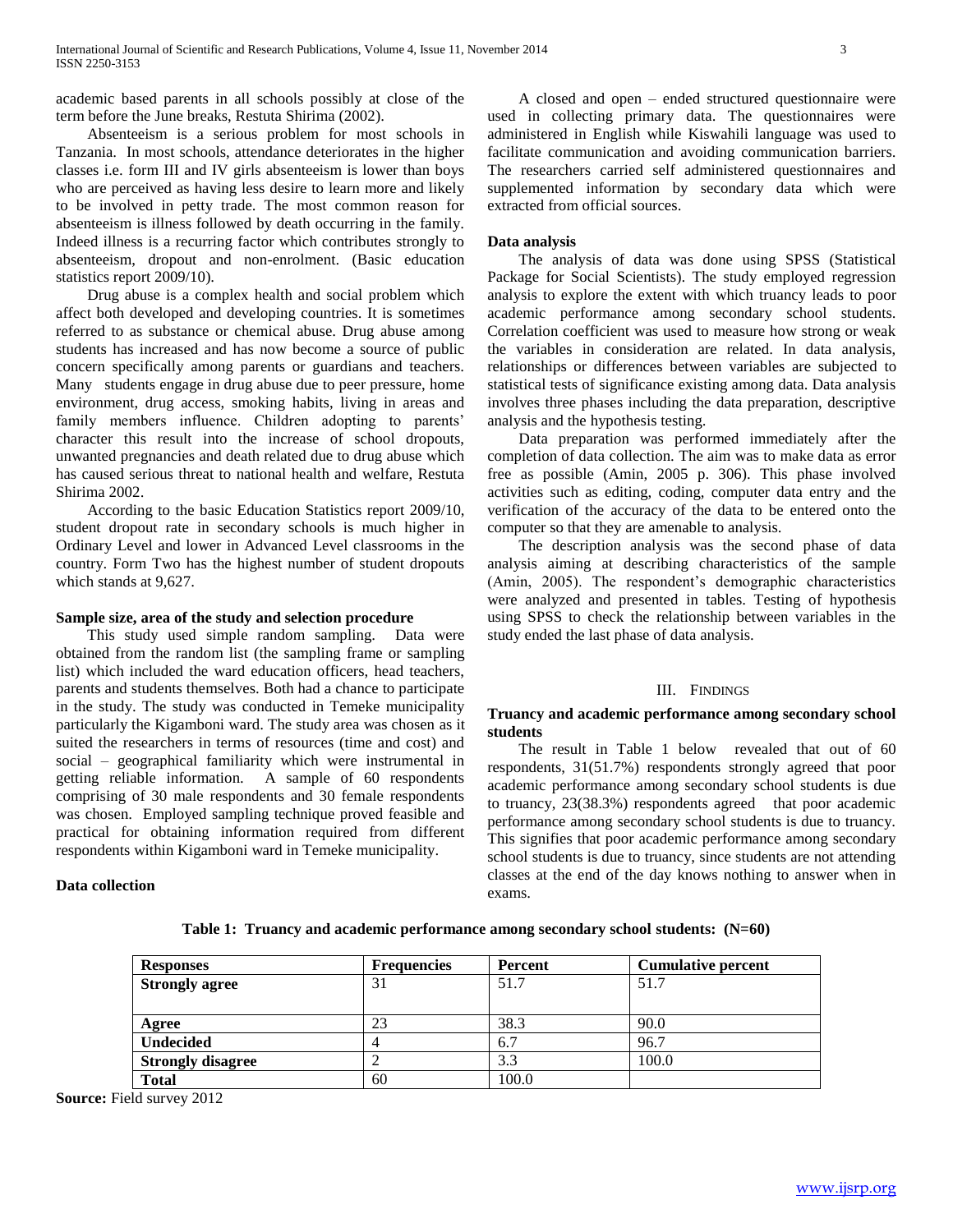academic based parents in all schools possibly at close of the term before the June breaks, Restuta Shirima (2002).

 Absenteeism is a serious problem for most schools in Tanzania. In most schools, attendance deteriorates in the higher classes i.e. form III and IV girls absenteeism is lower than boys who are perceived as having less desire to learn more and likely to be involved in petty trade. The most common reason for absenteeism is illness followed by death occurring in the family. Indeed illness is a recurring factor which contributes strongly to absenteeism, dropout and non-enrolment. (Basic education statistics report 2009/10).

 Drug abuse is a complex health and social problem which affect both developed and developing countries. It is sometimes referred to as substance or chemical abuse. Drug abuse among students has increased and has now become a source of public concern specifically among parents or guardians and teachers. Many students engage in drug abuse due to peer pressure, home environment, drug access, smoking habits, living in areas and family members influence. Children adopting to parents' character this result into the increase of school dropouts, unwanted pregnancies and death related due to drug abuse which has caused serious threat to national health and welfare, Restuta Shirima 2002.

 According to the basic Education Statistics report 2009/10, student dropout rate in secondary schools is much higher in Ordinary Level and lower in Advanced Level classrooms in the country. Form Two has the highest number of student dropouts which stands at 9,627.

#### **Sample size, area of the study and selection procedure**

 This study used simple random sampling. Data were obtained from the random list (the sampling frame or sampling list) which included the ward education officers, head teachers, parents and students themselves. Both had a chance to participate in the study. The study was conducted in Temeke municipality particularly the Kigamboni ward. The study area was chosen as it suited the researchers in terms of resources (time and cost) and social – geographical familiarity which were instrumental in getting reliable information. A sample of 60 respondents comprising of 30 male respondents and 30 female respondents was chosen. Employed sampling technique proved feasible and practical for obtaining information required from different respondents within Kigamboni ward in Temeke municipality.

#### **Data collection**

 A closed and open – ended structured questionnaire were used in collecting primary data. The questionnaires were administered in English while Kiswahili language was used to facilitate communication and avoiding communication barriers. The researchers carried self administered questionnaires and supplemented information by secondary data which were extracted from official sources.

#### **Data analysis**

 The analysis of data was done using SPSS (Statistical Package for Social Scientists). The study employed regression analysis to explore the extent with which truancy leads to poor academic performance among secondary school students. Correlation coefficient was used to measure how strong or weak the variables in consideration are related. In data analysis, relationships or differences between variables are subjected to statistical tests of significance existing among data. Data analysis involves three phases including the data preparation, descriptive analysis and the hypothesis testing.

 Data preparation was performed immediately after the completion of data collection. The aim was to make data as error free as possible (Amin, 2005 p. 306). This phase involved activities such as editing, coding, computer data entry and the verification of the accuracy of the data to be entered onto the computer so that they are amenable to analysis.

 The description analysis was the second phase of data analysis aiming at describing characteristics of the sample (Amin, 2005). The respondent's demographic characteristics were analyzed and presented in tables. Testing of hypothesis using SPSS to check the relationship between variables in the study ended the last phase of data analysis.

#### III. FINDINGS

#### **Truancy and academic performance among secondary school students**

 The result in Table 1 below revealed that out of 60 respondents, 31(51.7%) respondents strongly agreed that poor academic performance among secondary school students is due to truancy, 23(38.3%) respondents agreed that poor academic performance among secondary school students is due to truancy. This signifies that poor academic performance among secondary school students is due to truancy, since students are not attending classes at the end of the day knows nothing to answer when in exams.

|  |  | Table 1: Truancy and academic performance among secondary school students: $(N=60)$ |  |  |  |
|--|--|-------------------------------------------------------------------------------------|--|--|--|
|  |  |                                                                                     |  |  |  |

| <b>Responses</b>         | <b>Frequencies</b> | Percent | <b>Cumulative percent</b> |
|--------------------------|--------------------|---------|---------------------------|
| <b>Strongly agree</b>    | 31                 | 51.7    | 51.7                      |
|                          |                    |         |                           |
| Agree                    | 23                 | 38.3    | 90.0                      |
| <b>Undecided</b>         |                    | 6.7     | 96.7                      |
| <b>Strongly disagree</b> |                    | 3.3     | 100.0                     |
| <b>Total</b>             | 60                 | 100.0   |                           |

**Source:** Field survey 2012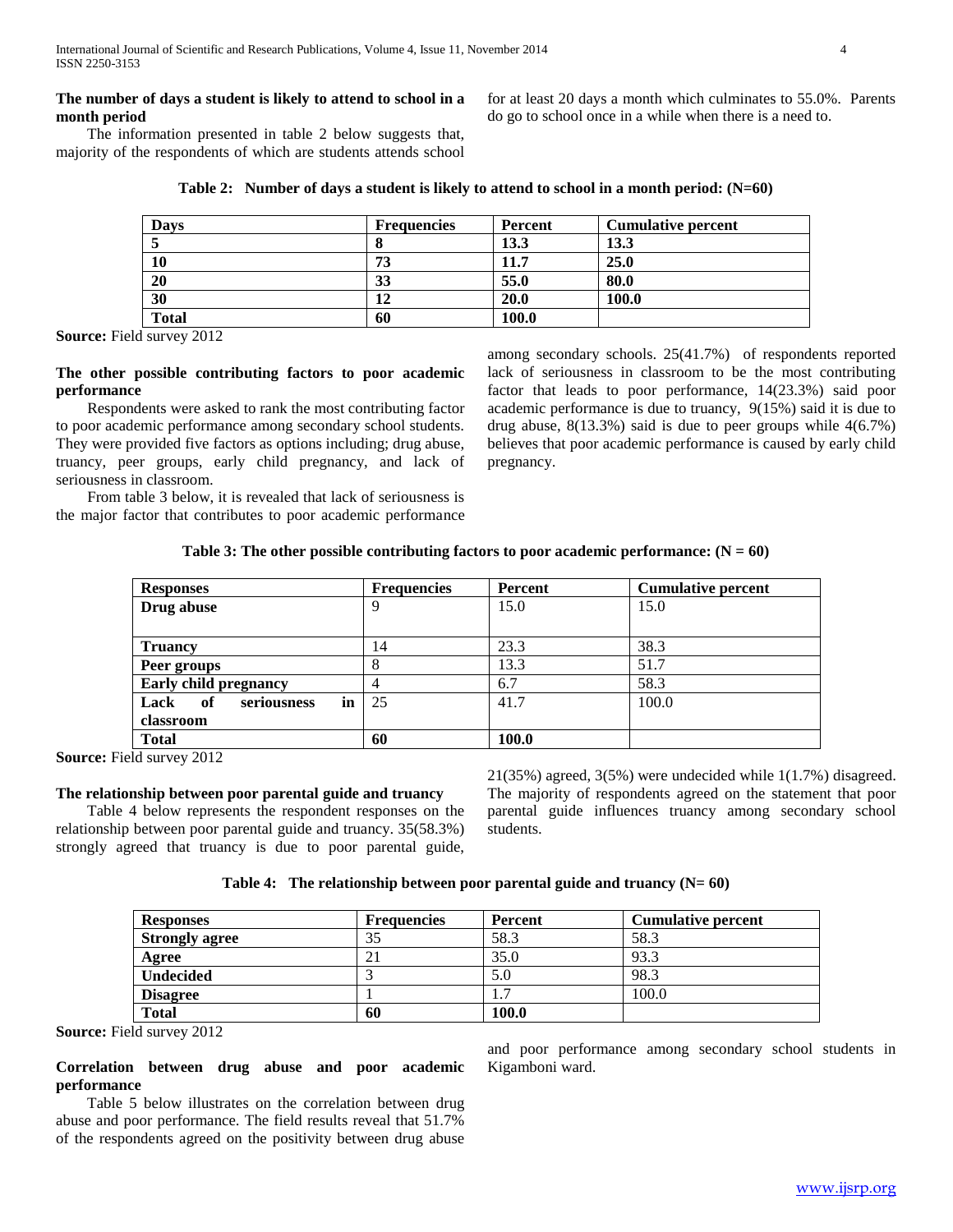# **The number of days a student is likely to attend to school in a month period**

 The information presented in table 2 below suggests that, majority of the respondents of which are students attends school for at least 20 days a month which culminates to 55.0%. Parents do go to school once in a while when there is a need to.

|  | Table 2: Number of days a student is likely to attend to school in a month period: $(N=60)$ |
|--|---------------------------------------------------------------------------------------------|
|--|---------------------------------------------------------------------------------------------|

| Davs         | <b>Frequencies</b> | Percent | <b>Cumulative percent</b> |
|--------------|--------------------|---------|---------------------------|
|              |                    | 13.3    | 13.3                      |
| 10           | 73                 | 11.7    | 25.0                      |
| 20           | 33                 | 55.0    | 80.0                      |
| 30           | 12                 | 20.0    | 100.0                     |
| <b>Total</b> | 60                 | 100.0   |                           |

**Source:** Field survey 2012

## **The other possible contributing factors to poor academic performance**

 Respondents were asked to rank the most contributing factor to poor academic performance among secondary school students. They were provided five factors as options including; drug abuse, truancy, peer groups, early child pregnancy, and lack of seriousness in classroom.

 From table 3 below, it is revealed that lack of seriousness is the major factor that contributes to poor academic performance among secondary schools. 25(41.7%) of respondents reported lack of seriousness in classroom to be the most contributing factor that leads to poor performance, 14(23.3%) said poor academic performance is due to truancy, 9(15%) said it is due to drug abuse,  $8(13.3\%)$  said is due to peer groups while  $4(6.7\%)$ believes that poor academic performance is caused by early child pregnancy.

|  | Table 3: The other possible contributing factors to poor academic performance: $(N = 60)$ |  |  |  |  |  |
|--|-------------------------------------------------------------------------------------------|--|--|--|--|--|
|--|-------------------------------------------------------------------------------------------|--|--|--|--|--|

| <b>Responses</b>                | <b>Frequencies</b> | Percent | <b>Cumulative percent</b> |
|---------------------------------|--------------------|---------|---------------------------|
| Drug abuse                      |                    | 15.0    | 15.0                      |
|                                 |                    |         |                           |
| <b>Truancy</b>                  | 14                 | 23.3    | 38.3                      |
| Peer groups                     |                    | 13.3    | 51.7                      |
| <b>Early child pregnancy</b>    |                    | 6.7     | 58.3                      |
| of<br>Lack<br>in<br>seriousness | 25                 | 41.7    | 100.0                     |
| classroom                       |                    |         |                           |
| <b>Total</b>                    | 60                 | 100.0   |                           |

**Source:** Field survey 2012

### **The relationship between poor parental guide and truancy**

 Table 4 below represents the respondent responses on the relationship between poor parental guide and truancy. 35(58.3%) strongly agreed that truancy is due to poor parental guide, 21(35%) agreed, 3(5%) were undecided while 1(1.7%) disagreed. The majority of respondents agreed on the statement that poor parental guide influences truancy among secondary school students.

| <b>Responses</b>      | <b>Frequencies</b> | Percent | <b>Cumulative percent</b> |
|-----------------------|--------------------|---------|---------------------------|
| <b>Strongly agree</b> | 35                 | 58.3    | 58.3                      |
| Agree                 | 21                 | 35.0    | 93.3                      |
| <b>Undecided</b>      |                    | 5.0     | 98.3                      |
| <b>Disagree</b>       |                    | 1.7     | 100.0                     |
| <b>Total</b>          | 60                 | 100.0   |                           |

**Source:** Field survey 2012

# **Correlation between drug abuse and poor academic performance**

 Table 5 below illustrates on the correlation between drug abuse and poor performance. The field results reveal that 51.7% of the respondents agreed on the positivity between drug abuse

and poor performance among secondary school students in Kigamboni ward.